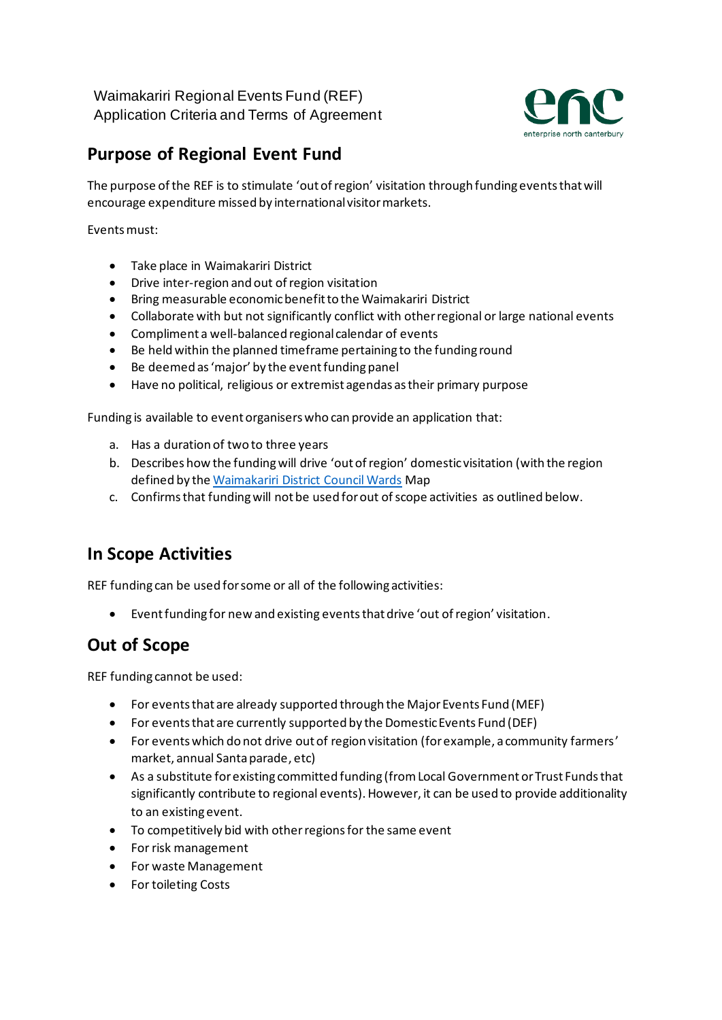

# **Purpose of Regional Event Fund**

The purpose of the REF is to stimulate 'out of region' visitation through funding events that will encourage expenditure missed by international visitor markets.

Events must:

- Take place in Waimakariri District
- Drive inter-region and out of region visitation
- Bring measurable economic benefit to the Waimakariri District
- Collaborate with but not significantly conflict with other regional or large national events
- Compliment a well-balanced regional calendar of events
- Be held within the planned timeframe pertaining to the funding round
- Be deemed as 'major' by the event funding panel
- Have no political, religious or extremist agendas as their primary purpose

Funding is available to event organisers who can provide an application that:

- a. Has a duration of two to three years
- b. Describes how the funding will drive 'out of region' domestic visitation (with the region defined by th[e Waimakariri District Council Wards](https://waimakariri.maps.arcgis.com/apps/webappviewer/index.html?id=5dad72ee172042e38a7cf3d5c10463a7) Map
- c. Confirms that funding will not be used for out of scope activities as outlined below.

### **In Scope Activities**

REF funding can be used for some or all of the following activities:

• Event funding for new and existing events that drive 'out of region' visitation.

### **Out of Scope**

REF funding cannot be used:

- For events that are already supported through the Major Events Fund (MEF)
- For events that are currently supported by the Domestic Events Fund (DEF)
- For events which do not drive out of region visitation (for example, a community farmers' market, annual Santa parade, etc)
- As a substitute for existing committed funding (from Local Government or Trust Funds that significantly contribute to regional events). However, it can be used to provide additionality to an existing event.
- To competitively bid with other regions for the same event
- For risk management
- For waste Management
- For toileting Costs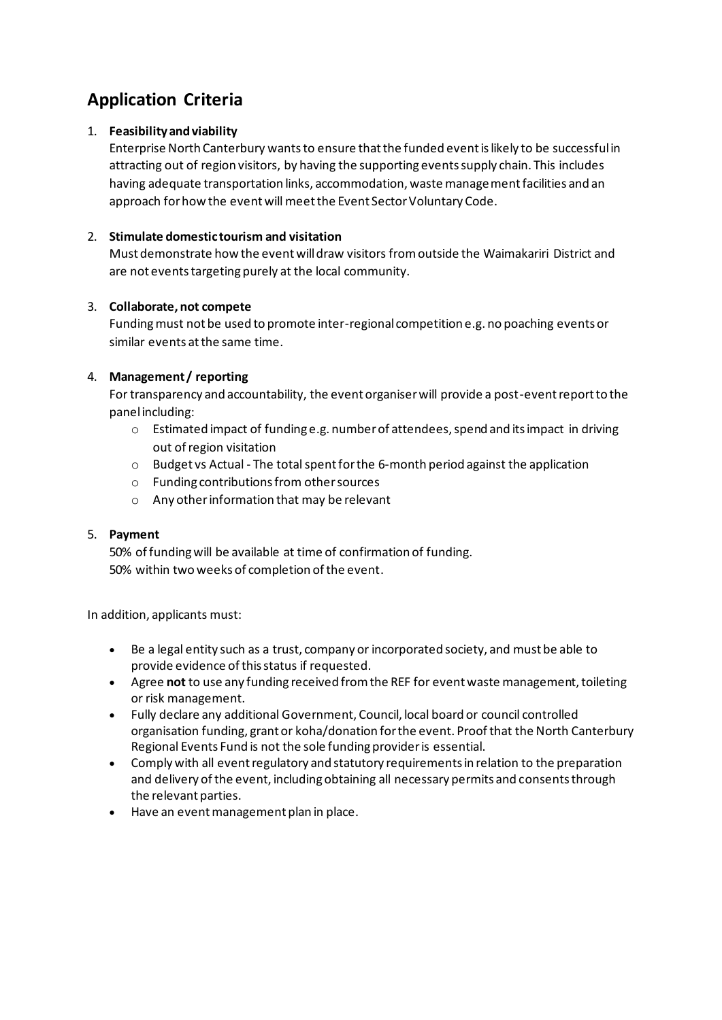## **Application Criteria**

#### 1. **Feasibility and viability**

Enterprise North Canterbury wantsto ensure that the funded event is likely to be successful in attracting out of region visitors, by having the supporting events supply chain. This includes having adequate transportation links, accommodation, waste management facilities and an approach for how the event will meet the Event Sector Voluntary Code.

#### 2. **Stimulate domestic tourism and visitation**

Must demonstrate how the event will draw visitors from outside the Waimakariri District and are not events targeting purely at the local community.

#### 3. **Collaborate, not compete**

Funding must not be used to promote inter-regional competition e.g. no poaching events or similar events at the same time.

#### 4. **Management / reporting**

For transparency and accountability, the event organiser will provide a post-event report to the panelincluding:

- $\circ$  Estimated impact of funding e.g. number of attendees, spend and its impact in driving out of region visitation
- $\circ$  Budget vs Actual The total spent for the 6-month period against the application
- o Funding contributions from other sources
- o Any other information that may be relevant

#### 5. **Payment**

50% of funding will be available at time of confirmation of funding. 50% within twoweeks of completion of the event.

In addition, applicants must:

- Be a legal entity such as a trust, company or incorporated society, and must be able to provide evidence of this status if requested.
- Agree **not** to use any funding received from the REF for event waste management, toileting or risk management.
- Fully declare any additional Government, Council, local board or council controlled organisation funding, grant or koha/donation for the event. Proof that the North Canterbury Regional Events Fund is not the sole funding provider is essential.
- Comply with all event regulatory and statutory requirements in relation to the preparation and delivery of the event, including obtaining all necessary permits and consents through the relevant parties.
- Have an event management plan in place.